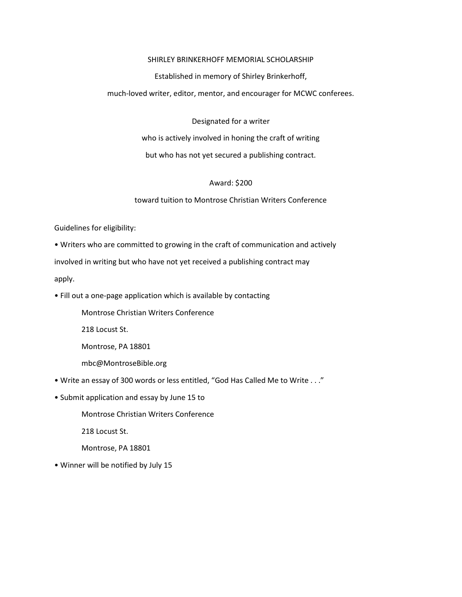### SHIRLEY BRINKERHOFF MEMORIAL SCHOLARSHIP

Established in memory of Shirley Brinkerhoff,

much-loved writer, editor, mentor, and encourager for MCWC conferees.

Designated for a writer

who is actively involved in honing the craft of writing

but who has not yet secured a publishing contract.

# Award: \$200

toward tuition to Montrose Christian Writers Conference

Guidelines for eligibility:

• Writers who are committed to growing in the craft of communication and actively

involved in writing but who have not yet received a publishing contract may

apply.

• Fill out a one-page application which is available by contacting

Montrose Christian Writers Conference

218 Locust St.

Montrose, PA 18801

mbc@MontroseBible.org

- Write an essay of 300 words or less entitled, "God Has Called Me to Write . . ."
- Submit application and essay by June 15 to

Montrose Christian Writers Conference

218 Locust St.

Montrose, PA 18801

• Winner will be notified by July 15